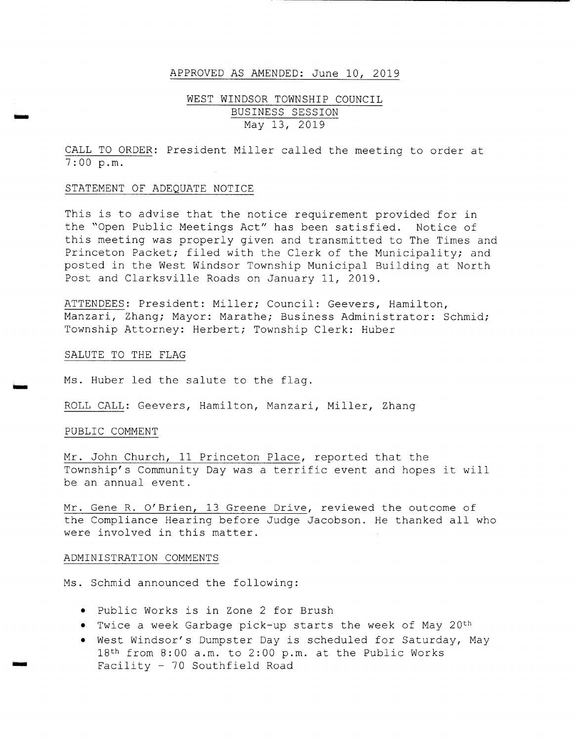#### APPROVED AS AMENDED: June 10, 2019

### WEST WINDSOR TOWNSHIP COUNCIL BUSINESS SESSION May 13, 2019

CALL TO ORDER: President Miller called the meeting to order at 7 : 00 p. m.

#### STATEMENT OF ADEQUATE NOTICE

This is to advise that the notice requirement provided for in the "Open Public Meetings Act" has been satisfied. Notice of this meeting was properly given and transmitted to The Times and Princeton Packet; filed with the Clerk of the Municipality; and posted in the West Windsor Township Municipal Building at North Post and Clarksville Roads on January 11, 2019 .

ATTENDEES: President: Miller; Council: Geevers, Hamilton, Manzari, Zhang; Mayor: Marathe; Business Administrator: Schmid; Township Attorney: Herbert; Township Clerk: Huber

### SALUTE TO THE FLAG

vow

low

Ms. Huber led the salute to the flag.

ROLL CALL: Geevers, Hamilton, Manzari, Miller, Zhang

#### PUBLIC COMMENT

Mr. John Church, 11 Princeton Place, reported that the Township's Community Day was a terrific event and hopes it will be an annual event .

Mr. Gene R. O' Brien, 13 Greene Drive, reviewed the outcome of the Compliance Hearing before Judge Jacobson. He thanked all who were involved in this matter.

#### ADMINISTRATION COMMENTS

Ms. Schmid announced the following:

- Public Works is in Zone <sup>2</sup> for Brush
- Twice a week Garbage pick-up starts the week of May 20th
- West Windsor' <sup>s</sup> Dumpster Day is scheduled for Saturday, May 18<sup>th</sup> from 8:00 a.m. to 2:00 p.m. at the Public Works Facility - <sup>70</sup> Southfield Road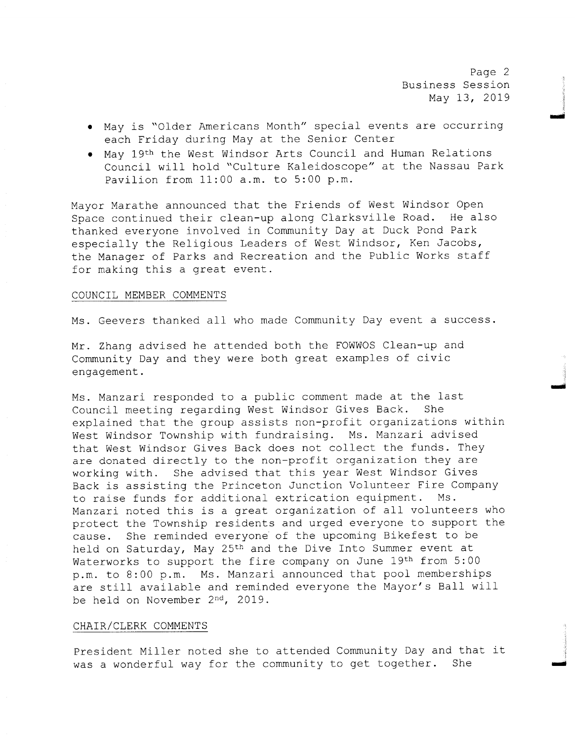Page 2 Business Session May 13, 2019

ri

mai

- May is " Older Americans Month" special events are occurring each Friday during May at the Senior Center
- May 19th the West Windsor Arts Council and Human Relations Council will hold "Culture Kaleidoscope" at the Nassau Park Pavilion from  $11:00$  a.m. to  $5:00$  p.m.

Mayor Marathe announced that the Friends of West Windsor Open Space continued their clean-up along Clarksville Road. He also thanked everyone involved in Community Day at Duck Pond Park especially the Religious Leaders of West Windsor, Ken Jacobs, the Manager of Parks and Recreation and the Public Works staff for making this a great event.

### COUNCIL MEMBER COMMENTS

Ms . Geevers thanked all who made Community Day event <sup>a</sup> success .

Mr. Zhang advised he attended both the FOWWOS Clean-up and Community Day and they were both great examples of civic engagement .

Ms. Manzari responded to a public comment made at the last<br>Council meeting regarding West Windsor Gives Back. She Council meeting regarding West Windsor Gives Back. explained that the group assists non-profit organizations within West Windsor Township with fundraising. Ms. Manzari advised that West Windsor Gives Back does not collect the funds. They are donated directly to the non-profit organization they are working with. She advised that this year West Windsor Gives Back is assisting the Princeton Junction Volunteer Fire Company to raise funds for additional extrication equipment. Ms. Manzari noted this is <sup>a</sup> great organization of all volunteers who protect the Township residents and urged everyone to support the cause. She reminded everyone of the upcoming Bikefest to be held on Saturday, May 25th and the Dive Into Summer event at Waterworks to support the fire company on June 19th from 5:00 p.m. to 8:00 p.m. Ms. Manzari announced that pool memberships are still available and reminded everyone the Mayor's Ball will be held on November 2nd, 2019 .

#### CHAIR/ CLERK COMMENTS

President Miller noted she to attended Community Day and that it<br>was a wonderful way for the community to get together. She was a wonderful way for the community to get together.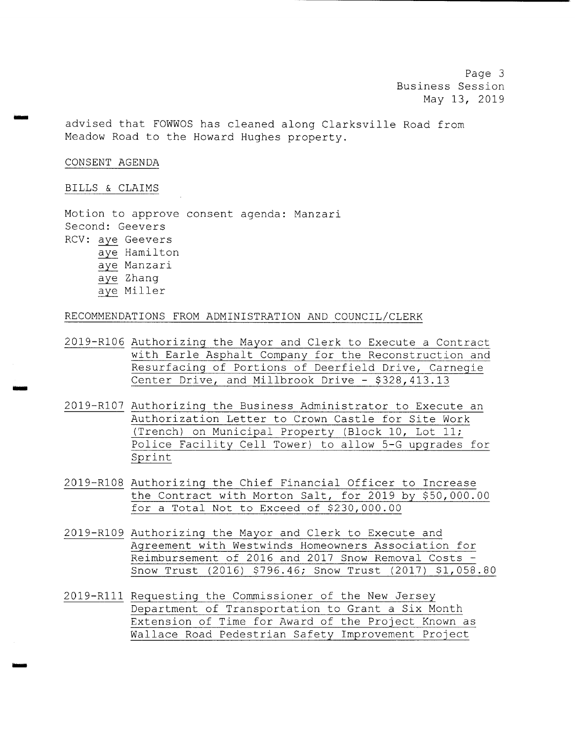Page 3 Business Session May 13, 2019

advised that FOWWOS has cleaned along Clarksville Road from Meadow Road to the Howard Hughes property.

### CONSENT AGENDA

wow

ilION

#### BILLS & CLAIMS

Motion to approve consent agenda: Manzari Second: Geevers RCV: aye Geevers aye Hamilton aye Manzari aye Zhang aye Miller

RECOMMENDATIONS FROM ADMINISTRATION AND COUNCIL/CLERK

- 2019- R106 Authorizing the Mayor and Clerk to Execute <sup>a</sup> Contract with Earle Asphalt Company for the Reconstruction and Resurfacing of Portions of Deerfield Drive, Carnegie Center Drive, and Millbrook Drive - \$328,413.13
- 2019- R107 Authorizing the Business Administrator to Execute an Authorization Letter to Crown Castle for Site Work (Trench) on Municipal Property (Block 10, Lot 11; Police Facility Cell Tower) to allow 5-G upgrades for Sprint
- 2019- R108 Authorizing the Chief Financial Officer to Increase the Contract with Morton Salt, for 2019 by \$50,000.00 for <sup>a</sup> Total Not to Exceed of \$230, 000 . 00
- 2019- R109 Authorizing the Mayor and Clerk to Execute and Agreement with Westwinds Homeowners Association for Reimbursement of 2016 and 2017 Snow Removal Costs - Snow Trust (2016) \$796.46; Snow Trust (2017) \$1,058.80
- 2019- R111 Requesting the Commissioner of the New Jersey Department of Transportation to Grant <sup>a</sup> Six Month Extension of Time for Award of the Project Known as Wallace Road Pedestrian Safety Improvement Project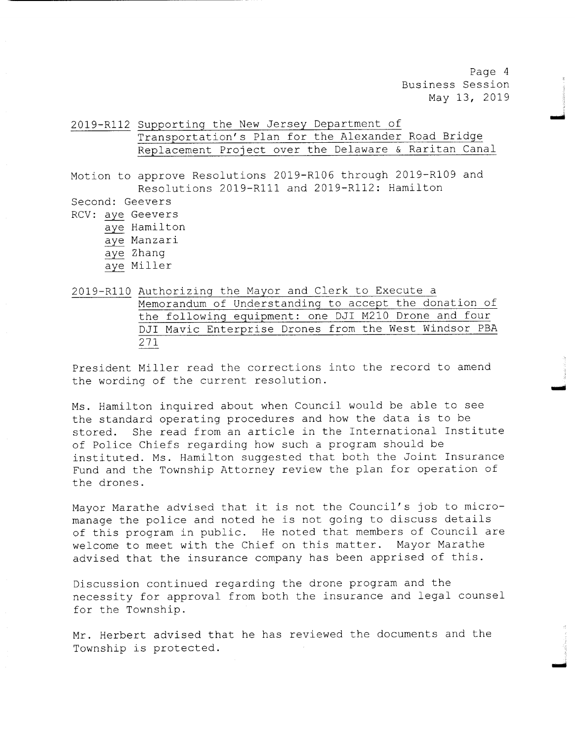Page <sup>4</sup> Business Session May 13, 2019

Nora

2019- R112 Supporting the New Jersey Department of Transportation' s Plan for the Alexander Road Bridge Replacement Project over the Delaware & Raritan Canal

Motion to approve Resolutions 2019-R106 through 2019-R109 and Resolutions 2019-R111 and 2019-R112: Hamilton

Second: Geevers RCV: aye Geevers aye Hamilton aye Manzari aye Zhang

aye Miller

2019- R110 Authorizing the Mayor and Clerk to Execute <sup>a</sup> Memorandum of Understanding to accept the donation of the following equipment: one DJI M210 Drone and four DJI Mavic Enterprise Drones from the West Windsor PBA 271

President Miller read the corrections into the record to amend the wording of the current resolution.

Ms . Hamilton inquired about when Council would be able to see the standard operating procedures and how the data is to be stored. She read from an article in the International Institute of Police Chiefs regarding how such <sup>a</sup> program should be instituted. Ms. Hamilton suggested that both the Joint Insurance Fund and the Township Attorney review the plan for operation of the drones .

Mayor Marathe advised that it is not the Council's job to micromanage the police and noted he is not going to discuss details of this program in public. He noted that members of Council are<br>welcome to meet with the Chief on this matter. Mayor Marathe welcome to meet with the Chief on this matter. advised that the insurance company has been apprised of this .

Discussion continued regarding the drone program and the necessity for approval from both the insurance and legal counsel for the Township.

Mr. Herbert advised that he has reviewed the documents and the Township is protected.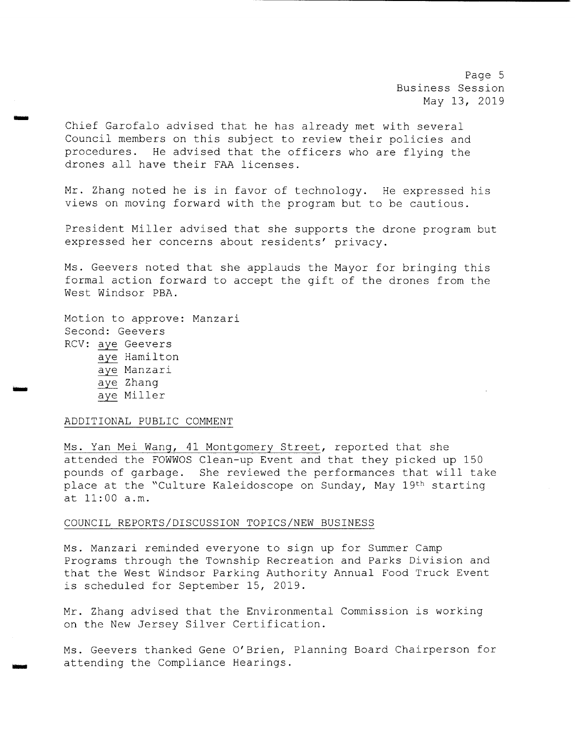Page 5 Business Session May 13, 2019

Chief Garofalo advised that he has already met with several Council members on this subject to review their policies and procedures. He advised that the officers who are flying the drones all have their FAA licenses .

Mr. Zhang noted he is in favor of technology. He expressed his views on moving forward with the program but to be cautious .

President Miller advised that she supports the drone program but expressed her concerns about residents' privacy.

Ms. Geevers noted that she applauds the Mayor for bringing this formal action forward to accept the gift of the drones from the West Windsor PBA.

Motion to approve: Manzari Second: Geevers RCV: aye Geevers aye Hamilton aye Manzari aye Zhang aye Miller

rrr

#### ADDITIONAL PUBLIC COMMENT

Ms. Yan Mei Wang, 41 Montgomery Street, reported that she attended the FOWWOS Clean-up Event and that they picked up 150 pounds of garbage. She reviewed the performances that will take place at the "Culture Kaleidoscope on Sunday, May 19th starting at  $11:00$  a.m.

#### COUNCIL REPORTS/ DISCUSSION TOPICS/ NEW BUSINESS

Ms . Manzari reminded everyone to sign up for Summer Camp Programs through the Township Recreation and Parks Division and that the West Windsor Parking Authority Annual Food Truck Event is scheduled for September 15, 2019 .

Mr. Zhang advised that the Environmental Commission is working on the New Jersey Silver Certification.

Ms . Geevers thanked Gene O' Brien, Planning Board Chairperson for attending the Compliance Hearings .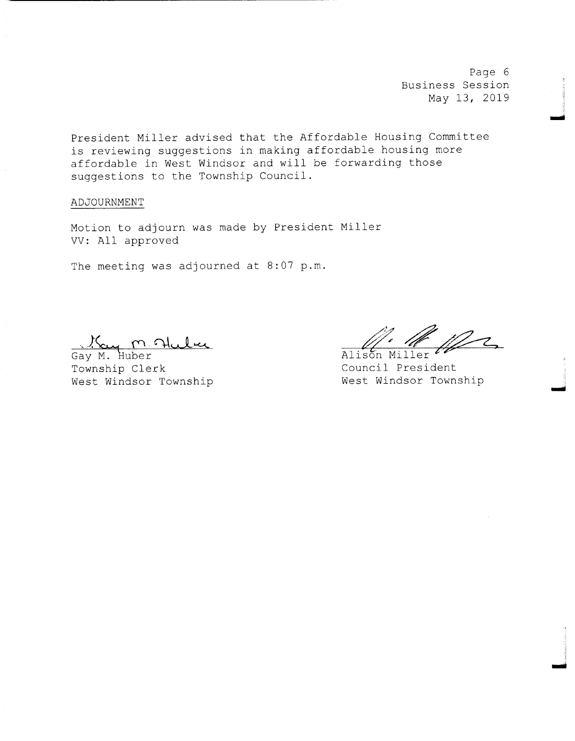Page 6 Business Session May 13, 2019

President Miller advised that the Affordable Housing Committee is reviewing suggestions in making affordable housing more affordable in West Windsor and will be forwarding those suggestions to the Township Council .

ADJOURNMENT

Motion to adjourn was made by President Miller VV: All approved

The meeting was adjourned at 8:07 p.m.

<u>Ky m. Huber</u> Alison

Township Clerk<br>
West Windsor Township<br>
West Windsor Township<br>
West Windsor Township West Windsor Township

rrr

rr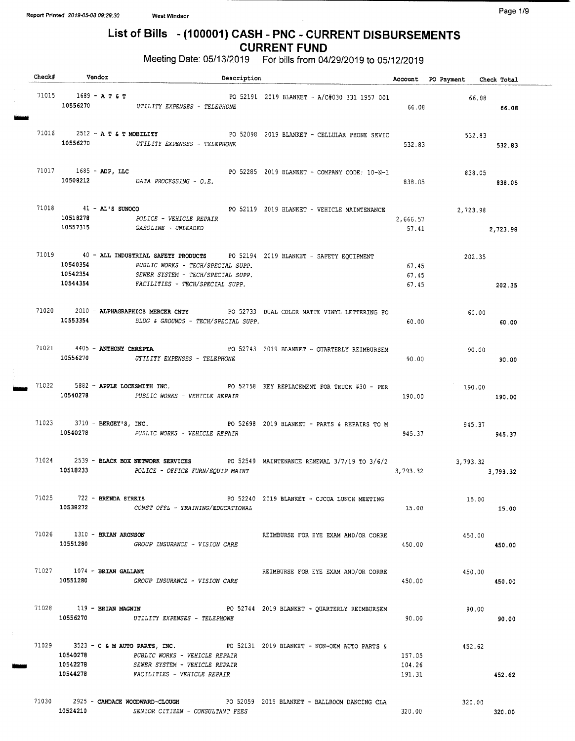## List of Bills - (100001) CASH - PNC - CURRENT DISBURSEMENTS CURRENT FUND

Meeting Date: 05/13/2019 For bills from 04/29/2019 to 05/12/2019

| Check# Vendor                            |                                                                                                                                                                                                       | Description                                  |                            |                               | Account PO Payment Check Total |
|------------------------------------------|-------------------------------------------------------------------------------------------------------------------------------------------------------------------------------------------------------|----------------------------------------------|----------------------------|-------------------------------|--------------------------------|
| 71015 1689 – <b>A T &amp; T</b>          | 10556270 UTILITY EXPENSES - TELEPHONE                                                                                                                                                                 | PO 52191 2019 BLANKET - A/C#030 331 1957 001 | 66.08                      | 66.08                         | 66.08                          |
| 71016 2512 - A T & T MOBILITY            | 10556270 UTILITY EXPENSES - TELEPHONE                                                                                                                                                                 | PO 52098 2019 BLANKET - CELLULAR PHONE SEVIC | 532.83                     | 532.83                        | 532.83                         |
|                                          | 71017 1685 - ADP, LLC<br>10508212 DATA PROCESSING - $O.E.$                                                                                                                                            | PO 52285 2019 BLANKET - COMPANY CODE: 10-N-1 | 838.05                     | 838.05                        | 838.05                         |
| 10518278<br>10557315                     | 71018 41 - AL'S SUNOCO PO 52119 2019 BLANKET - VEHICLE MAINTENANCE<br>POLICE - VEHICLE REPAIR<br><i>GASOLINE - UNLEADED</i>                                                                           |                                              | 2,666.57                   | 2,723.98<br>57.41<br>2,723.98 |                                |
| 10540354<br>10542354<br>10544354         | 71019 		 40 - ALL INDUSTRIAL SAFETY PRODUCTS 		 PO 52194 2019 BLANKET - SAFETY EQUIPMENT<br>PUBLIC WORKS - TECH/SPECIAL SUPP.<br>SEWER SYSTEM - TECH/SPECIAL SUPP.<br>FACILITIES - TECH/SPECIAL SUPP. |                                              | 67.45<br>67.45<br>67.45    | 202.35                        | 202.35                         |
|                                          | 71020 2010 - ALPHAGRAPHICS MERCER CNTY PO 52733 DUAL COLOR MATTE VINYL LETTERING FO<br>10553354 BLDG & GROUNDS - TECH/SPECIAL SUPP.                                                                   |                                              | 60.00                      | 60.00                         | 60.00                          |
| 71021 4405 - ANTHONY CHREPTA<br>10556270 | UTILITY EXPENSES - TELEPHONE                                                                                                                                                                          | PO 52743 2019 BLANKET - QUARTERLY REIMBURSEM | 90.00                      | 90.00                         | 90.00                          |
|                                          | 71022 5882 - APPLE LOCKSMITH INC. PO 52758 KEY REPLACEMENT FOR TRUCK #30 - PER<br>10540278 PUBLIC WORKS - VEHICLE REPAIR                                                                              |                                              | 190.00                     | 190.00                        | 190.00                         |
|                                          | 71023 3710 - BERGEY'S, INC. THE RESOLUTION OF POST STOP SERVICE TO PARTS & REPAIRS TO M<br>10540278 PUBLIC WORKS - VEHICLE REPAIR                                                                     |                                              | 945.37                     | 945.37                        | 945.37                         |
|                                          | 71024 2539 - BLACK BOX NETWORK SERVICES PO 52549 MAINTENANCE RENEWAL 3/7/19 TO 3/6/2<br>10518233 POLICE - OFFICE FURN/EQUIP MAINT                                                                     |                                              |                            | 3,793.32<br>3,793.32 3,793.32 |                                |
| 71025 722 - BRENDA SIRKIS                | 10538272 CONST OFFL - TRAINING/EDUCATIONAL                                                                                                                                                            | PO 52240 2019 BLANKET - CJCOA LUNCH MEETING  | 15.00                      | 15.00                         | 15,00                          |
| 71026 1310 - BRIAN ARONSON               | 10551280 GROUP INSURANCE - VISION CARE                                                                                                                                                                | REIMBURSE FOR EYE EXAM AND/OR CORRE          | 450.00                     | 450.00                        | 450.00                         |
| $71027$ 1074 - BRIAN GALLANT             | 10551280 GROUP INSURANCE - VISION CARE                                                                                                                                                                | REIMBURSE FOR EYE EXAM AND/OR CORRE          | 450.00                     | 450.00                        | 450.00                         |
|                                          | 71028 119 - BRIAN MAGNIN 1997 100 2014 2019 BLANKET - QUARTERLY REIMBURSEM<br>10556270 UTILITY EXPENSES - TELEPHONE                                                                                   |                                              | 90.00                      | 90.00                         | 90.00                          |
| 10540278<br>10542278                     | 71029 3523 - C & M AUTO PARTS, INC. PO 52131 2019 BLANKET - NON-OEM AUTO PARTS &<br>PUBLIC WORKS - VEHICLE REPAIR<br>SEWER SYSTEM - VEHICLE REPAIR<br>10544278 FACILITIES - VEHICLE REPAIR            |                                              | 157.05<br>104.26<br>191.31 | 452.62                        | 452.62                         |
|                                          | 71030 2925 - CANDACE WOODWARD-CLOUGH PO 52059 2019 BLANKET - BALLROOM DANCING CLA<br>10524210 SENIOR CITIZEN - CONSULTANT FEES                                                                        |                                              | 320.00                     | 320.00<br>320.00              |                                |
|                                          |                                                                                                                                                                                                       |                                              |                            |                               |                                |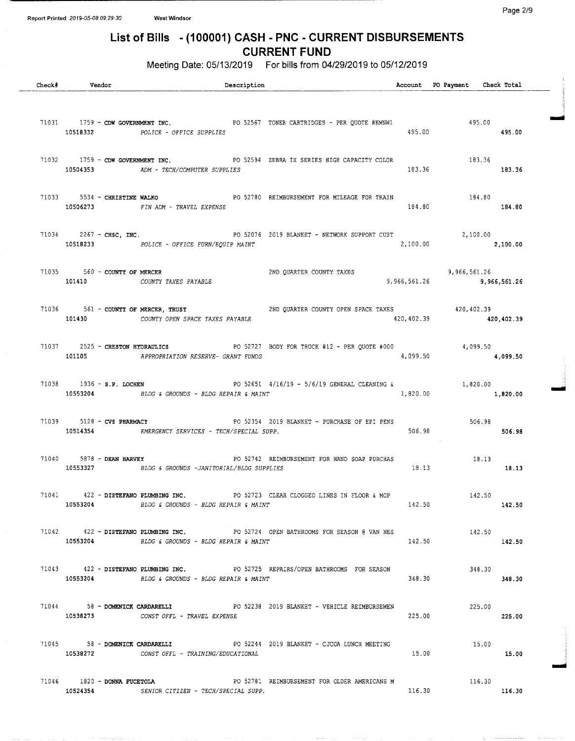$\alpha = 1$  , and  $\alpha = 1$  , and  $\alpha = 0$ 

## List of Bills - ( 100001) CASH - PNC - CURRENT DISBURSEMENTS CURRENT FUND

Meeting Date: 05/13/2019 For bills from 04/29/2019 to 05/12/2019

| Check# | Vendor                         | Description                                                                                                                            |        | Account PO Payment Check Total               |        |  |
|--------|--------------------------------|----------------------------------------------------------------------------------------------------------------------------------------|--------|----------------------------------------------|--------|--|
|        |                                | 71031 1759 - CDW GOVERNMENT INC. PO 52567 TONER CARTRIDGES - PER QUOTE #KMNW1<br>10518332 POLICE - OFFICE SUPPLIES                     |        | 195.00 495.00 FXMNN1<br>495.00 495.00 495.00 |        |  |
|        |                                | 71032 1759 - CDW GOVERNMENT INC. PO 52594 ZEBRA IX SERIES HIGH CAPACITY COLOR 183.36<br>10504353 ADM - TECH/COMPUTER SUPPLIES          |        | 183.36 183.36                                |        |  |
|        |                                | 91033 5534 <b>- CHRISTINE WALKO</b> PO 52780 REIMBURSEMENT FOR MILEAGE FOR TRAIN<br>184.80 - ------- The Time of The Street By Decke   |        |                                              |        |  |
|        |                                | 71034 2267 - CHSC, INC. POLICE - OFFICE FURN/EQUIP MAINT 2019 BLANKET - NETWORK SUPPORT CUST 2,100.00 2,100.00                         |        |                                              |        |  |
|        | 71035 560 - COUNTY OF MERCER   | 2ND QUARTER COUNTY TAXES 3,966,561.26<br>101410 COUNTY TAXES PAYABLE                                                                   |        | 9,966,561.26 9,966,561.26                    |        |  |
|        |                                | 39,402.39 561 - COUNTY OF MERCER, TRUST<br>20,402.39 420,402.39 420,402.39 420,402.39                                                  |        |                                              |        |  |
|        |                                | 2525 - CRESTON HYDRAULICS PO 52727 BODY FOR TRUCK #12 - PER QUOTE #000 4,099.50 2525 - 2525 - 2525 7101105 101105                      |        |                                              |        |  |
|        |                                | 71038 1936 - S.P. LOCHEN 20 2651 4/16/19 - 5/6/19 GENERAL CLEANING 6 3261 1,820.00<br>10553204 BLDG & GROUNDS - BLDG REPAIR & MAINT    |        | $1,820.00$ $1,820.00$                        |        |  |
|        | 71039 5128 - CVS PHARMACY      | PO 52354 2019 BLANKET – PURCHASE OF EPI PENS 506.98 506.98<br>10514354 EMERGENCY SERVICES - TECH/SPECIAL SUPP.                         |        |                                              | 506.98 |  |
|        |                                | 71040 5878 - DEAN HARVEY THE RELEASE PO 52742 REIMBURSEMENT FOR HAND SOAP PURCHAS<br>10553327 BLDG & GROUNDS -JANITORIAL/BLDG SUPPLIES |        | 18.13<br>18.13 18.13                         |        |  |
| 71041  |                                | 422 - DISTEFANO PLUMBING INC. 88 PO 52723 CLEAR CLOGGED LINES IN FLOOR & MOP<br>10553204 BLDG & GROUNDS - BLDG REPAIR & MAINT          | 142.50 | 142.50                                       | 142.50 |  |
|        |                                | 71042 422 - DISTEFANO PLUMBING INC. PO 52724 OPEN BATHROOMS FOR SEASON @ VAN NES<br>10553204 BLDG & GROUNDS - BLDG REPAIR & MAINT      | 142.50 | 142.50                                       | 142.50 |  |
|        | 10553204                       | 71043 422 - DISTEFANO PLUMBING INC. PO 52725 REPAIRS/OPEN BATHROOMS FOR SEASON<br>BLDG & GROUNDS - BLDG REPAIR & MAINT                 | 348.30 | 348.30                                       | 348.30 |  |
|        |                                | 71044 58 - DOMENICK CARDARELLI PO 52238 2019 BLANKET - VEHICLE REIMBURSEMEN<br>10538273 CONST OFFL - TRAVEL EXPENSE                    | 225.00 | 225.00                                       | 225.00 |  |
|        | 71045 58 - DOMENICK CARDARELLI | PO 52244 2019 BLANKET - CJCOA LUNCH MEETING                                                                                            | 15.00  | 15.00                                        | 15.00  |  |
|        | 10524354                       | 71046 1820 - DONNA FUCETOLA 6 PO 52781 REIMBURSEMENT FOR OLDER AMERICANS M<br>SENIOR CITIZEN - TECH/SPECIAL SUPP.                      | 116.30 | 116.30                                       | 116.30 |  |

where  $\alpha$  is a  $\alpha$  -section of the  $\alpha$ 

...........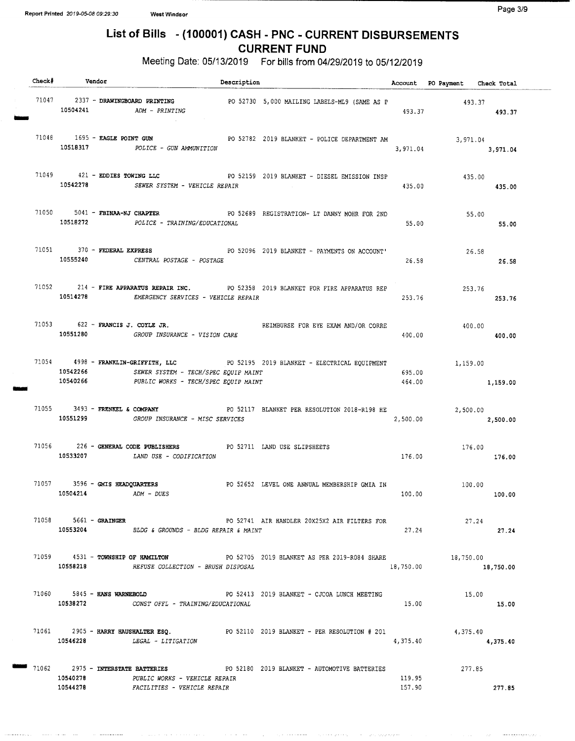$\sim$  -comparison

 $\langle \phi_{\alpha\beta\gamma\delta} \rangle \propto \langle \phi_{\alpha\beta\delta} \rangle \propto \langle \phi_{\alpha\beta\delta} \rangle \propto \langle \phi_{\alpha\beta\delta} \rangle \propto \langle \phi_{\alpha\beta\delta} \rangle$ 

**Service** Service

 $\bar{z}$  is an

# List of Bills - ( 100001) CASH - PNC - CURRENT DISBURSEMENTS CURRENT FUND

Meeting Date: 05/13/2019 For bills from 04/29/2019 to 05/12/2019

| Check# Vendor         |                                                                                                      | Description |                                                                                                            |                  | Account PO Payment Check Total |           |
|-----------------------|------------------------------------------------------------------------------------------------------|-------------|------------------------------------------------------------------------------------------------------------|------------------|--------------------------------|-----------|
|                       | $10504241$ $ADM - PRINTING$                                                                          |             | 71047 2337 - DRAWINGBOARD PRINTING PO 52730 5,000 MAILING LABELS-ML9 (SAME AS P 493.37                     | 493.37           | 493.37                         |           |
|                       | 71048 1695 - EAGLE POINT GUN<br>10518317 POLICE - GUN AMMUNITION                                     |             | PO 52782 2019 BLANKET - POLICE DEPARTMENT AM                                                               | 3,971.04         | 3,971.04<br>3,971.04           |           |
|                       | 10542278 SEWER SYSTEM - VEHICLE REPAIR                                                               |             | 71049 421 - EDDIES TOWING LLC PO 52159 2019 BLANKET - DIESEL EMISSION INSP                                 | 435.00           | 435.00<br>435.00               |           |
|                       | $71050$ $5041$ - FBINAA-NJ CHAPTER<br>10518272 POLICE - TRAINING/EDUCATIONAL                         |             | PO 52689 REGISTRATION- LT DANNY MOHR FOR 2ND                                                               | 55.00            | 55.00                          | 55.00     |
|                       | 10555240 CENTRAL POSTAGE - POSTAGE                                                                   |             | 71051 370 - FEDERAL EXPRESS 6 2019 BLANKET - PAYMENTS ON ACCOUNT                                           | 26.58            | 26.58                          | 26.58     |
|                       | 10514278 EMERGENCY SERVICES - VEHICLE REPAIR                                                         |             | 71052 214 - FIRE APPARATUS REPAIR INC. PO 52358 2019 BLANKET FOR FIRE APPARATUS REP                        | 253.76           | 253.76                         | 253.76    |
|                       | 71053 622 - FRANCIS J. COYLE JR.<br>10551280 GROUP INSURANCE - VISION CARE                           |             | REIMBURSE FOR EYE EXAM AND/OR CORRE                                                                        | 400.00           | 400.00<br>400.00               |           |
| 10540266              | 10542266 SEWER SYSTEM - TECH/SPEC EQUIP MAINT<br>PUBLIC WORKS - TECH/SPEC EQUIP MAINT                |             | 71054 4998 - FRANKLIN-GRIFFITH, LLC PO 52195 2019 BLANKET - ELECTRICAL EQUIPMENT                           | 695.00           | 1,159.00<br>464.00 1,159.00    |           |
|                       | 10551299 GROUP INSURANCE - MISC SERVICES                                                             |             | 71055 3493 - FRENKEL & COMPANY PO 52117 BLANKET PER RESOLUTION 2018-R198 HE                                | 2,500.00         | 2,500.00<br>2,500.00           |           |
|                       | 71056 226 - GENERAL CODE PUBLISHERS PO 52711 LAND USE SLIPSHEETS<br>10533207 LAND USE - CODIFICATION |             |                                                                                                            | 176.00           | 176.00<br>176.00               |           |
| 10504214              | 71057 3596 - GMIS HEADQUARTERS<br>ADM - DUES                                                         |             | PO 52652 LEVEL ONE ANNUAL MEMBERSHIP GMIA IN                                                               | 100.00           | 100.00                         | 100.00    |
| 71058 5661 - GRAINGER | 10553204 BLDG & GROUNDS - BLDG REPAIR & MAINT                                                        |             | PO 52741 AIR HANDLER 20X25X2 AIR FILTERS FOR                                                               | 27.24            | 27.24                          | 27.24     |
| 10558218              | REFUSE COLLECTION - BRUSH DISPOSAL                                                                   |             | 71059 4531 - TOWNSHIP OF HAMILTON PO 52705 2019 BLANKET AS PER 2019-R084 SHARE 4531 - TOWNSHIP OF HAMILTON | 18,750.00        |                                | 18,750.00 |
|                       | 71060 5845 - HANS WARNEBOLD<br>10538272 CONST OFFL - TRAINING/EDUCATIONAL                            |             | PO 52413 2019 BLANKET - CJCOA LUNCH MEETING                                                                | 15.00            | 15.00                          | 15.00     |
|                       | 10546228 LEGAL - LITIGATION                                                                          |             | 71061 2905 - HARRY HAUSHALTER ESQ. PO 52110 2019 BLANKET - PER RESOLUTION # 201                            | 4,375.40         | 4,375.40                       | 4,375.40  |
| 10540278<br>10544278  | PUBLIC WORKS - VEHICLE REPAIR<br>FACILITIES - VEHICLE REPAIR                                         |             | 71062 2975 - INTERSTATE BATTERIES PO 52180 2019 BLANKET - AUTOMOTIVE BATTERIES                             | 119.95<br>157.90 | 277.85<br>277.85               |           |

الموروحين وتراديب والمتبع ممارك السمماء والمرادي

ولايتحصه وليرو ومعادات والرواد

 $\sim 10^{-1}$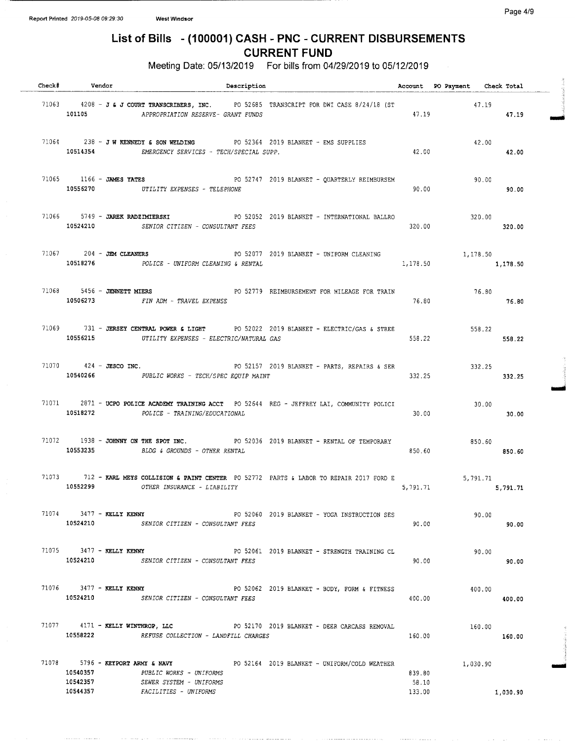Page 4/9

## List of Bills - ( 100001) CASH - PNC - CURRENT DISBURSEMENTS CURRENT FUND

Meeting Date: 05/13/2019 For bills from 04/29/2019 to 05/12/2019

| Check# Vendor                            |                                                                             | Description |                                                                                                      |                           | Account PO Payment Check Total |                  |
|------------------------------------------|-----------------------------------------------------------------------------|-------------|------------------------------------------------------------------------------------------------------|---------------------------|--------------------------------|------------------|
| 101105                                   | APPROPRIATION RESERVE- GRANT FUNDS                                          |             | 71063 4208 - J & J COURT TRANSCRIBERS, INC. PO 52685 TRANSCRIPT FOR DWI CASE 8/24/18 (ST             | 47,19                     | 47.19                          | 47.19            |
|                                          | 10514354 EMERGENCY SERVICES - TECH/SPECIAL SUPP.                            |             | 71064 238 - JW KENNEDY & SON WELDING PO 52364 2019 BLANKET - EMS SUPPLIES                            | 42.00                     | 42.00                          | 42.00            |
|                                          | 10556270 UTILITY EXPENSES - TELEPHONE                                       |             | 71065 1166 - JAMES YATES 76 76 76 771 7019 BLANKET - QUARTERLY REIMBURSEM                            | 90.00                     | 90.00<br>90.00                 |                  |
|                                          | 10524210 SENIOR CITIZEN - CONSULTANT FEES                                   |             | 71066 5749 - JAREK RADZIMIERSKI 600 PO 52052 2019 BLANKET - INTERNATIONAL BALLRO                     | 320.00                    | 320.00                         | 320.00           |
|                                          | 10518276 POLICE - UNIFORM CLEANING & RENTAL                                 |             | 71067 204 - JEM CLEANERS PO 52077 2019 BLANKET - UNIFORM CLEANING                                    | 1,178.50                  | 1,178.50                       | 1,178.50         |
| $71068$ 5456 - JENNETT MIERS             | 10506273 FIN ADM - TRAVEL EXPENSE                                           |             | PO 52779 REIMBURSEMENT FOR MILEAGE FOR TRAIN 76.80                                                   | 76.80                     |                                | 76.80            |
|                                          | 10556215 UTILITY EXPENSES - ELECTRIC/NATURAL GAS                            |             | 71069 731 - JERSEY CENTRAL POWER & LIGHT PO 52022 2019 BLANKET - ELECTRIC/GAS & STREE                | 558.22                    | 558.22                         | 558.22           |
|                                          | 10540266 PUBLIC WORKS - TECH/SPEC EQUIP MAINT                               |             | 71070 424 - JESCO INC. PO 52157 2019 BLANKET - PARTS, REPAIRS & SER                                  | 332.25                    |                                | 332.25<br>332.25 |
|                                          | 10518272 POLICE - TRAINING/EDUCATIONAL                                      |             | 71071 2871 - UCPO POLICE ACADEMY TRAINING ACCT PO 52644 REG - JEFFREY LAI, COMMUNITY POLICI          | 30.00                     | 30.00                          | 30.00            |
|                                          | 10553235 BLDG & GROUNDS - OTHER RENTAL                                      |             | 71072 1938 - JOHNNY ON THE SPOT INC. PO 52036 2019 BLANKET - RENTAL OF TEMPORARY                     | 850.60                    | 850.60                         | 850.60           |
|                                          | 10552299 OTHER INSURANCE - LIABILITY                                        |             | 71073 712 - KARL MEYS COLLISION & PAINT CENTER PO 52772 PARTS & LABOR TO REPAIR 2017 FORD E 5,791.71 |                           | 5,791.71 5,791.71              |                  |
| $71074$ $3477 -$ KELLY KENNY             | 10524210 SENIOR CITIZEN - CONSULTANT FEES                                   |             | PO 52060 2019 BLANKET - YOGA INSTRUCTION SES                                                         | 90.00                     | 90.00                          | 90.00            |
|                                          | 10524210 SENIOR CITIZEN - CONSULTANT FEES                                   |             | 71075 3477 - KELLY KENNY TERRY TRAINING CL                                                           | 90.00                     | 90.00                          | 90.00            |
| $71076$ $3477 -$ KELLY KENNY<br>10524210 | SENIOR CITIZEN - CONSULTANT FEES                                            |             | PO 52062 2019 BLANKET - BODY, FORM & FITNESS                                                         | 400.00                    | 400.00                         | 400.00           |
|                                          | 10558222 REFUSE COLLECTION - LANDFILL CHARGES                               |             | 71077 4171 - KELLY WINTHROP, LLC 80 2010 2019 BLANKET - DEER CARCASS REMOVAL                         | 160.00                    | 160.00                         | 160.00           |
| 10540357<br>10542357<br>10544357         | PUBLIC WORKS - UNIFORMS<br>SEWER SYSTEM - UNIFORMS<br>FACILITIES - UNIFORMS |             | 71078 5796 - KEYPORT ARMY & NAVY 6 PO 52164 2019 BLANKET - UNIFORM/COLD WEATHER                      | 839.80<br>58.10<br>133.00 | 1,030.90                       | 1,030.90         |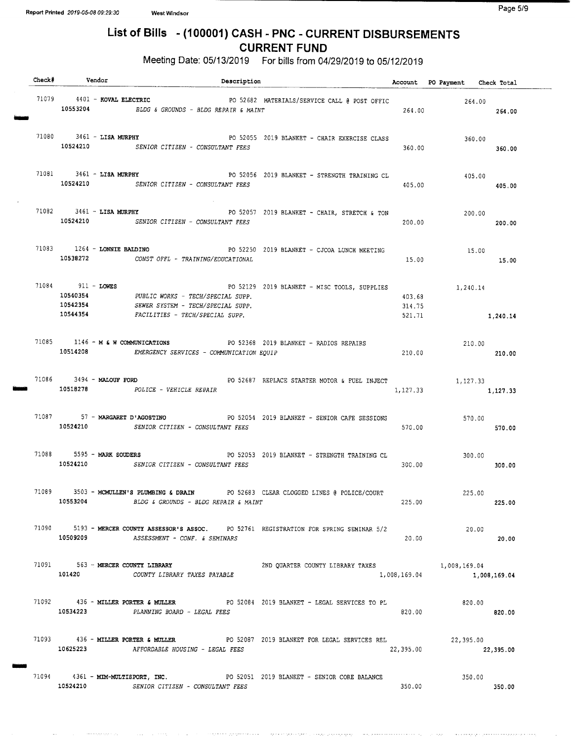tt O

 $\label{eq:reduced} \begin{split} \mathcal{L}_{\text{max}}(\mathcal{L}_{\text{max}}, \mathcal{L}_{\text{max}}, \mathcal{L}_{\text{max}}) = \mathcal{L}_{\text{max}}(\mathcal{L}_{\text{max}}) \end{split}$ 

# List of Bills - ( 100001) CASH - PNC - CURRENT DISBURSEMENTS CURRENT FUND

Meeting Date: 05/13/2019 For bills from 04/29/2019 to 05/12/2019

|  | Check# Vendor |                               | Description                                                                                                                                                        |                                                                                                            |                  | Account PO Payment Check Total |              |
|--|---------------|-------------------------------|--------------------------------------------------------------------------------------------------------------------------------------------------------------------|------------------------------------------------------------------------------------------------------------|------------------|--------------------------------|--------------|
|  |               | $71079$ 4401 - KOVAL ELECTRIC | 10553204 BLDG & GROUNDS - BLDG REPAIR & MAINT                                                                                                                      | PO 52682 MATERIALS/SERVICE CALL @ POST OFFIC                                                               | 264.00           | 264.00<br>264.00               |              |
|  |               |                               | 10524210 SENIOR CITIZEN - CONSULTANT FEES                                                                                                                          | 71080 3461 - LISA MURPHY PO 52055 2019 BLANKET - CHAIR EXERCISE CLASS                                      | 360.00           | 360.00<br>360.00               |              |
|  |               |                               | 10524210 SENIOR CITIZEN - CONSULTANT FEES                                                                                                                          | 71081 3461 - LISA MURPHY PO 52056 2019 BLANKET - STRENGTH TRAINING CL                                      | 405.00           | 405.00                         | 405,00       |
|  |               |                               | 10524210 SENIOR CITIZEN - CONSULTANT FEES                                                                                                                          | 71082 3461 - LISA MURPHY <b>1088</b> 2019 BLANKET - CHAIR, STRETCH & TON                                   | 200.00           | 200.00                         | 200.00       |
|  |               | 71083 1264 - LONNIE BALDINO   | 10538272 CONST OFFL - TRAINING/EDUCATIONAL                                                                                                                         | PO 52250 2019 BLANKET - CJCOA LUNCH MEETING                                                                | 15.00            | 15.00<br>15.00                 |              |
|  |               |                               | 71084 911 - LOWES PO 52129<br>10540354 PUBLIC WORKS - TECH/SPECIAL SUPP.<br>10542354 SEWER SYSTEM - TECH/SPECIAL SUPP.<br>10544354 FACILITIES - TECH/SPECIAL SUPP. | PO 52129 2019 BLANKET - MISC TOOLS, SUPPLIES                                                               | 403.68<br>314.75 | 1,240.14<br>521.71 1,240.14    |              |
|  |               |                               | 10514208 EMERGENCY SERVICES - COMMUNICATION EQUIP                                                                                                                  | 71085 1146 - M & W COMMUNICATIONS PO 52368 2019 BLANKET - RADIOS REPAIRS                                   | 210.00           | 210.00                         | 210.00       |
|  |               |                               | 10518278 POLICE - VEHICLE REPAIR                                                                                                                                   | 71086 3494 - MALOUF FORD 266 2687 REPLACE STARTER MOTOR & FUEL INJECT                                      | 1,127.33         | 1,127.33<br>1,127,33           |              |
|  |               |                               | 71087 57 - MARGARET D'AGOSTINO<br>10524210 SENIOR CITIZEN - CONSULTANT FEES                                                                                        | PO 52054 2019 BLANKET - SENIOR CAFE SESSIONS                                                               | 570.00           | 570.00<br>570.00               |              |
|  |               |                               | 10524210 SENIOR CITIZEN - CONSULTANT FEES                                                                                                                          | 71088 5595 - MARK SOUDERS THE RESOLUTION OF SALES AND POST AND POSSESS 2019 BLANKET - STRENGTH TRAINING CL | 300.00           | 300.00<br>300.00               |              |
|  | 10553204      |                               | BLDG & GROUNDS - BLDG REPAIR & MAINT                                                                                                                               | 71089 3503 - MCMULLEN'S PLUMBING & DRAIN PO 52683 CLEAR CLOGGED LINES @ POLICE/COURT                       | 225.00           | 225.00                         | 225.00       |
|  | 10509209      |                               | ASSESSMENT - CONF. & SEMINARS                                                                                                                                      | 71090 5193 - MERCER COUNTY ASSESSOR'S ASSOC. PO 52761 REGISTRATION FOR SPRING SEMINAR 5/2                  | 20.00            | 20.00                          | 20.00        |
|  |               |                               | 101420 COUNTY LIBRARY TAXES PAYABLE                                                                                                                                | 71091 563 - MERCER COUNTY LIBRARY 2ND QUARTER COUNTY LIBRARY TAXES 1,008,169.04                            | 1,008,169.04     |                                | 1,008,169.04 |
|  |               |                               | 10534223 PLANNING BOARD - LEGAL FEES                                                                                                                               | 71092 436 - MILLER PORTER & MULLER 700 52084 2019 BLANKET - LEGAL SERVICES TO PL                           | 820.00           | 820.00                         | 820.00       |
|  |               |                               | 10625223 AFFORDABLE HOUSING - LEGAL FEES                                                                                                                           | 71093 436 - MILLER PORTER & MULLER PO 52087 2019 BLANKET FOR LEGAL SERVICES REL                            | 22,395.00        | 22,395.00                      | 22,395.00    |
|  |               |                               | 10524210 SENIOR CITIZEN - CONSULTANT FEES                                                                                                                          | 71094 4361 - MIM-MULTISPORT, INC. PO 52051 2019 BLANKET - SENIOR CORE BALANCE                              | 350.00           | 350.00                         | 350.00       |

الاداء والمستهر المحجج والمنا

وليوا وإودادية والترويدة بالرازة فعيدت فرقوا فلأفاق والمرا

الوالي والمستحدث والمستحدث والمستحير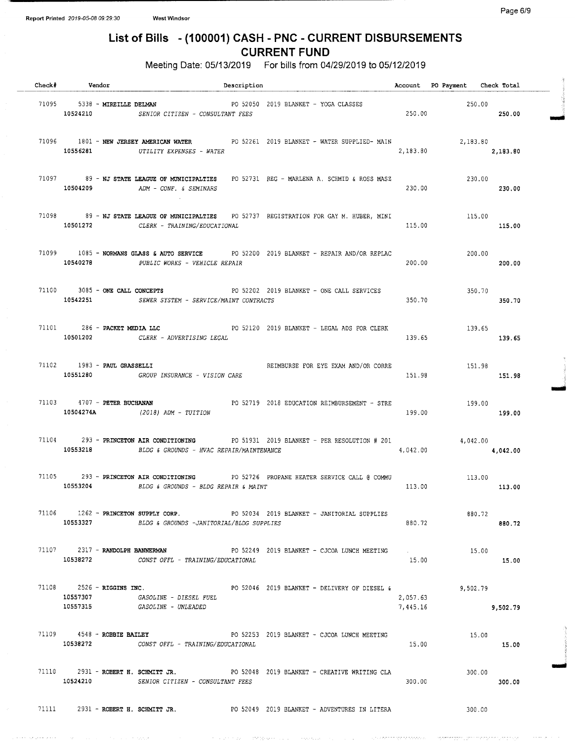## List of Bills - ( 100001) CASH - PNC - CURRENT DISBURSEMENTS CURRENT FUND

Meeting Date: 05/13/2019 For bills from 04/29/2019 to 05/12/2019

| Check# Vendor                                     | Description                                                                                                                                 |                             | Account PO Payment Check Total |          |  |
|---------------------------------------------------|---------------------------------------------------------------------------------------------------------------------------------------------|-----------------------------|--------------------------------|----------|--|
| 71095 5338 - MIREILLE DELMAN                      | PO 52050 2019 BLANKET - YOGA CLASSES<br>10524210 SENIOR CITIZEN - CONSULTANT FEES                                                           | 250.00                      | 250.00                         | 250.00   |  |
|                                                   | 71096 1801 - NEW JERSEY AMERICAN WATER PO 52261 2019 BLANKET - WATER SUPPLIED- MAIN<br>10556281 UTILITY EXPENSES - WATER                    | 2,183.80                    | 2,183.80<br>2,183.80           |          |  |
|                                                   | 71097 89 - NJ STATE LEAGUE OF MUNICIPALTIES PO 52731 REG - MARLENA A. SCHMID & ROSS MASZ<br>10504209 ADM - CONF. & SEMINARS                 | 230.00                      | 230.00<br>230.00               |          |  |
|                                                   | 71098 89 - NJ STATE LEAGUE OF MUNICIPALTIES PO 52737 REGISTRATION FOR GAY M. HUBER, MINI<br>10501272 CLERK - TRAINING/EDUCATIONAL           | 115.00                      | 115.00                         | 115,00   |  |
|                                                   | 71099 1085 - NORMANS GLASS & AUTO SERVICE PO 52200 2019 BLANKET - REPAIR AND/OR REPLAC<br>10540278 PUBLIC WORKS - VEHICLE REPAIR            | 200.00                      | 200.00                         | 200.00   |  |
| 71100 3085 - ONE CALL CONCEPTS                    | PO 52202 2019 BLANKET - ONE CALL SERVICES<br>10542251 SEWER SYSTEM - SERVICE/MAINT CONTRACTS                                                | 350.70                      | 350.70<br>350.70               |          |  |
|                                                   | 71101 286 - PACKET MEDIA LLC 6 20120 2019 BLANKET - LEGAL ADS FOR CLERK<br>10501202 CLERK - ADVERTISING LEGAL                               | 139.65                      | 139.65                         | 139.65   |  |
| $71102$ 1983 - PAUL GRASSELLI                     | REIMBURSE FOR EYE EXAM AND/OR CORRE<br>10551280 GROUP INSURANCE - VISION CARE                                                               | 151.98                      | 151.98                         | 151.98   |  |
| 71103 4707 - PETER BUCHANAN                       | PO 52719 2018 EDUCATION REIMBURSEMENT - STRE 199.00<br>10504274A (2018) ADM - TUITION                                                       | 199.00                      | 199.00                         |          |  |
|                                                   | 71104 293 - PRINCETON AIR CONDITIONING PO 51931 2019 BLANKET - PER RESOLUTION # 201<br>10553218 BLDG & GROUNDS - HVAC REPAIR/MAINTENANCE    | 4,042.00                    | 4,042.00                       | 4,042.00 |  |
|                                                   | 71105 293 - PRINCETON AIR CONDITIONING PO 52726 PROPANE HEATER SERVICE CALL @ COMMU 213.00<br>10553204 BLDG & GROUNDS - BLDG REPAIR & MAINT |                             | 113.00                         | 113.00   |  |
| 10553327                                          | 71106 1262 - PRINCETON SUPPLY CORP. 2019 BLANKET - JANITORIAL SUPPLIES<br>BLDG & GROUNDS -JANITORIAL/BLDG SUPPLIES                          | 880.72                      | 880.72                         | 880.72   |  |
|                                                   | 71107 2317 - RANDOLPH BANNERMAN PO 52249 2019 BLANKET - CJCOA LUNCH MEETING<br>10538272 CONST OFFL - TRAINING/EDUCATIONAL                   | and the company of<br>15.00 | 15.00                          | 15.00    |  |
| 71108 2526 - RIGGINS INC.<br>10557307<br>10557315 | PO 52046 2019 BLANKET - DELIVERY OF DIESEL &<br><i>GASOLINE - DIESEL FUEL</i><br><i>GASOLINE - UNLEADED</i>                                 | 2,057.63<br>7,445.16        | 9,502.79                       | 9,502.79 |  |
| $71109$ 4548 - ROBBIE BAILEY                      | PO 52253 2019 BLANKET - CJCOA LUNCH MEETING<br>10538272 CONST OFFL - TRAINING/EDUCATIONAL                                                   | 15.00                       | 15.00                          | 15.00    |  |
|                                                   | 71110 2931 - ROBERT H. SCHMITT JR. 200 90 92048 2019 BLANKET - CREATIVE WRITING CLA<br>10524210 SENIOR CITIZEN - CONSULTANT FEES            | 300.00                      | 300.00                         | 300.00   |  |
|                                                   | 71111 2931 - ROBERT H. SCHMITT JR. 68 PO 52049 2019 BLANKET - ADVENTURES IN LITERA                                                          |                             | 300.00                         |          |  |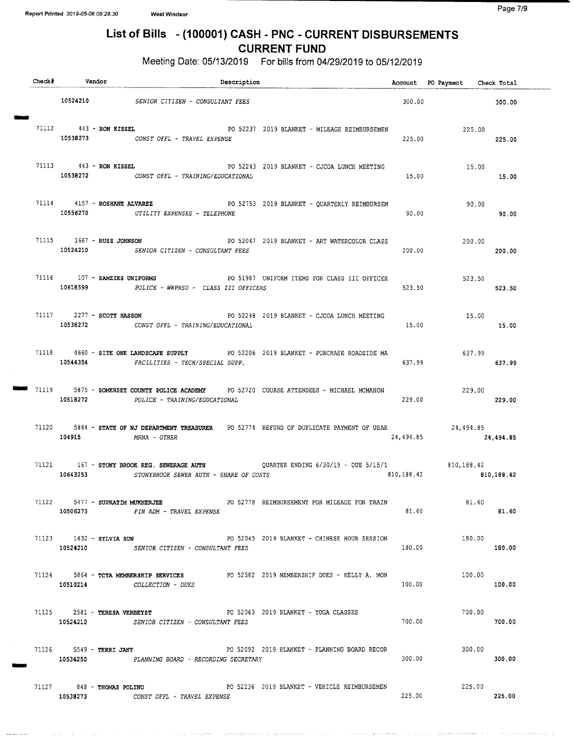# List of Bills - ( 100001) CASH - PNC - CURRENT DISBURSEMENTS CURRENT FUND

Meeting Date: 05/13/2019 For bills from 04/29/2019 to 05/12/2019

|  | Check# Vendor                               | Description                                                                                                                       |           | Account PO Payment Check Total        |           |
|--|---------------------------------------------|-----------------------------------------------------------------------------------------------------------------------------------|-----------|---------------------------------------|-----------|
|  |                                             | 10524210 SENIOR CITIZEN - CONSULTANT FEES                                                                                         |           | 300.00                                | 300.00    |
|  | 71112 443 - RON KISSEL                      | PO 52237 2019 BLANKET - MILEAGE REIMBURSEMEN<br>10538273 CONST OFFL - TRAVEL EXPENSE                                              | 225.00    | 225.00<br>225.00                      |           |
|  |                                             | 71113 443 - RON KISSEL SANTA PO 52243 2019 BLANKET - CJCOA LUNCH MEETING<br>10538272 CONST OFFL - TRAINING/EDUCATIONAL            | 15.00     | 15.00<br>15.00                        |           |
|  |                                             | 71114 $4157 - R$ OSHANE ALVAREZ PO 52753 2019 BLANKET - QUARTERLY REIMBURSEM<br>10556270 UTILITY EXPENSES - TELEPHONE             | 90.00     | 90.00                                 | 90.00     |
|  |                                             | 71115 1667 - RUSS JOHNSON PO 52047 2019 BLANKET - ART WATERCOLOR CLASS<br>10524210 SENIOR CITIZEN - CONSULTANT FEES               | 200.00    | 200.00<br>200.00                      |           |
|  | 10618599                                    | 71116 107 - SAMZIES UNIFORMS PO 51987 UNIFORM ITEMS FOR CLASS III OFFICER<br>POLICE - WWPRSD - CLASS III OFFICERS                 | 523.50    | 523.50                                | 523.50    |
|  |                                             | 71117 2277 - SCOTT HASSON TERM 2019 BLANKET - CJCOA LUNCH MEETING<br>10538272 CONST OFFL - TRAINING/EDUCATIONAL                   | 15.00     | 15.00                                 | 15.00     |
|  |                                             | 71118 4660 - SITE ONE LANDSCAPE SUPPLY 60 52206 2019 BLANKET - PURCHASE ROADSIDE MA<br>10544354 FACILITIES - TECH/SPECIAL SUPP.   | 637.99    | 637.99<br>637,99                      |           |
|  |                                             | 71119 5875 - SOMERSET COUNTY POLICE ACADEMY PO 52720 COURSE ATTENDEES - MICHAEL MCMAHON<br>10518272 POLICE - TRAINING/EDUCATIONAL | 229.00    | 229.00<br>229.00                      |           |
|  | 104915 MRNA - OTHER                         | 71120 5884 - STATE OF NJ DEPARTMENT TREASURER PO 52774 REFUND OF DUPLICATE PAYMENT OF USAR                                        | 24,494.85 | 24,494.85                             | 24,494.85 |
|  |                                             | 71121 167 - STONY BROOK REG. SEWERAGE AUTH QUARTER ENDING 6/30/19 - DUE 5/15/1<br>10643253 STONYBROOK SEWER AUTH - SHARE OF COSTS |           | 810,188.42<br>810, 188.42 810, 188.42 |           |
|  | 71122 5477 - SUPRATIM MUKHERJEE<br>10506273 | PO 52778 REIMBURSEMENT FOR MILEAGE FOR TRAIN<br>FIN ADM - TRAVEL EXPENSE                                                          | 81.60     | 81.60                                 | 81.60     |
|  | 71123 1632 - SYLVIA SUN                     | PO 52045 2019 BLANKET - CHINESE HOUR SESSION<br>10524210 SENIOR CITIZEN - CONSULTANT FEES                                         | 180.00    | 180.00                                | 180.00    |
|  | 10510214                                    | 71124 5864 - TCTA MEMBERSHIP SERVICES 60 PO 52582 2019 MEMBERSHIP DUES - KELLY A. MON<br>COLLECTION - DUES                        | 100.00    | 100.00                                | 100.00    |
|  |                                             | 10524210 SENIOR CITIZEN - CONSULTANT FEES                                                                                         | 700.00    | 700.00                                | 700.00    |
|  | 71126 5549 - TERRI JANY                     | PO 52092 2019 BLANKET - PLANNING BOARD RECOR<br>10534250 PLANNING BOARD - RECORDING SECRETARY                                     | 300.00    | 300.00                                | 300.00    |
|  |                                             | 71127 848 - THOMAS POLINO 67 2019 BLANKET - VEHICLE REIMBURSEMEN<br>10538273 CONST OFFL - TRAVEL EXPENSE                          | 225.00    | 225.00                                | 225.00    |

 $\bar{\psi}$  , the meaning space of the state  $\bar{\psi}$  , and the state meaning space

بالمستورة فالأساط

البراء فالتفات

الموجود وبالودياء والمحاجين

The country in this service is the service of

وللمحدث محدوراتها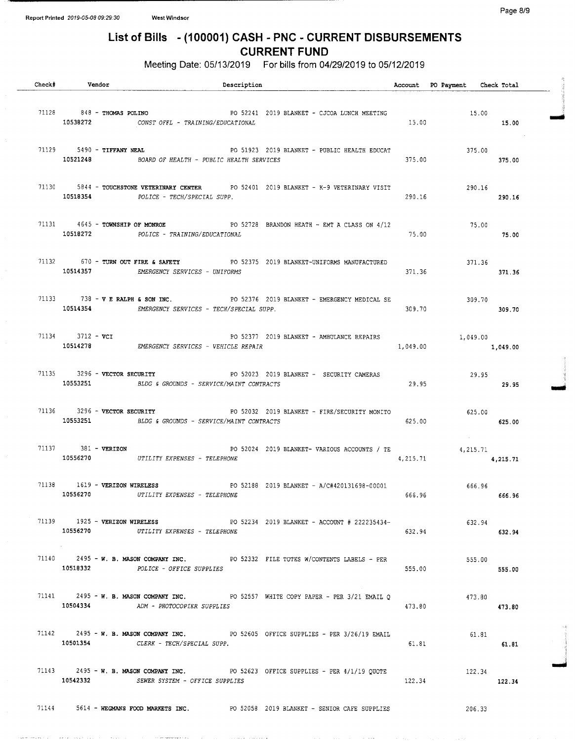### Page 8/9

# List of Bills - ( 100001) CASH - PNC - CURRENT DISBURSEMENTS CURRENT FUND

Meeting Date: 05/13/2019 For bills from 04/29/2019 to 05/12/2019

| Check# | Vendor                        | Description                                                                                                                                                      |          | Account PO Payment Check Total           |                  |  |
|--------|-------------------------------|------------------------------------------------------------------------------------------------------------------------------------------------------------------|----------|------------------------------------------|------------------|--|
|        |                               | $71128$ $848 -$ THOMAS POLINO<br>PO 52241 2019 BLANKET - CJCOA LUNCH MEETING<br>15.00 - <i>TRATNIC/FDICATIONAT</i><br>10538272 CONST OFFL - TRAINING/EDUCATIONAL |          | 15.00                                    | 15.00            |  |
|        |                               | 71129 5490 - TIFFANY NEAL 6190 FO 51923 2019 BLANKET - PUBLIC HEALTH EDUCAT<br>10521248 BOARD OF HEALTH - PUBLIC HEALTH SERVICES                                 | 375.00   | 375.00                                   | 375.00           |  |
|        |                               | 71130 5844 - TOUCHSTONE VETERINARY CENTER PO 52401 2019 BLANKET - K-9 VETERINARY VISIT<br>10518354 POLICE - TECH/SPECIAL SUPP.                                   | 290.16   | 290.16                                   | 290.16           |  |
|        |                               | 71131 4645 - TOWNSHIP OF MONROE PO 52728 BRANDON HEATH - EMT A CLASS ON 4/12<br>10518272 POLICE - TRAINING/EDUCATIONAL                                           | 75.00    | 75.00                                    | 75.00            |  |
|        |                               | 71132 670 - TURN OUT FIRE & SAFETY PO 52375 2019 BLANKET-UNIFORMS MANUFACTURED<br>10514357 EMERGENCY SERVICES - UNIFORMS                                         | 371.36   |                                          | 371.36<br>371.36 |  |
|        |                               | 71133 738 - V E RALPH & SON INC. PO 52376 2019 BLANKET - EMERGENCY MEDICAL SE<br>10514354 EMERGENCY SERVICES - TECH/SPECIAL SUPP.                                | 309.70   | 309.70<br>309.70                         |                  |  |
|        | 71134 3712 - VCI              | PO 52377 2019 BLANKET - AMBULANCE REPAIRS<br>1,049.00 1,049.00 1,049.00<br>10514278 EMERGENCY SERVICES - VEHICLE REPAIR                                          |          |                                          |                  |  |
|        |                               | 71135 3296 - VECTOR SECURITY THE RESERVE PO 52023 2019 BLANKET - SECURITY CAMERAS<br>10553251 BLDG & GROUNDS - SERVICE/MAINT CONTRACTS                           | 29.95    | 29.95                                    | 29.95            |  |
|        |                               | 71136 3296 - VECTOR SECURITY<br>PO 52032 2019 BLANKET - FIRE/SECURITY MONITO 625.00<br>10553251 BLDG & GROUNDS - SERVICE/MAINT CONTRACTS                         | 625.00   |                                          | 625.00           |  |
|        |                               | 71137 381 - VERIZON 6 62024 2019 BLANKET- VARIOUS ACCOUNTS / TE<br>10556270 UTILITY EXPENSES - TELEPHONE                                                         | 4,215.71 | <b>College</b><br>4, 215, 71<br>4,215.71 |                  |  |
|        |                               | PO 52188 2019 BLANKET - A/C#420131698-00001 666.96<br>71138 1619 - VERIZON WIRELESS<br>10556270 UTILITY EXPENSES - TELEPHONE                                     |          | 666.96 200                               | 666.96           |  |
|        | 10556270<br><b>Contractor</b> | 71139 1925 - VERIZON WIRELESS 60 2019 BLANKET - ACCOUNT # 222235434-<br>UTILITY EXPENSES - TELEPHONE                                                             | 632.94   | 632.94                                   | 632.94           |  |
|        |                               | 71140 2495 - W. B. MASON COMPANY INC. THE PO 52332 FILE TOTES W/CONTENTS LABELS - PER<br>10518332 POLICE - OFFICE SUPPLIES                                       | 555.00   | 555.00                                   | 555.00           |  |
|        | 10504334                      | 71141 2495 - W. B. MASON COMPANY INC. PO 52557 WHITE COPY PAPER - PER 3/21 EMAIL O<br>ADM - PHOTOCOPIER SUPPLIES                                                 | 473.80   | 473.80                                   | 473.80           |  |
|        | 10501354                      | 71142 2495 - W. B. MASON COMPANY INC. PO 52605 OFFICE SUPPLIES - PER 3/26/19 EMAIL<br>CLERK - TECH/SPECIAL SUPP.                                                 | 61.81    | 61.81                                    | 61.81            |  |
|        |                               | 71143 2495 - W.B. MASON COMPANY INC. PO 52623 OFFICE SUPPLIES - PER $4/1/19$ QUOTE<br>10542332 SEWER SYSTEM - OFFICE SUPPLIES                                    | 122.34   | 122.34                                   | 122.34           |  |
|        |                               | 71144 5614 - WEGMANS FOOD MARKETS INC. PO 52058 2019 BLANKET - SENIOR CAFE SUPPLIES                                                                              |          | 206.33                                   |                  |  |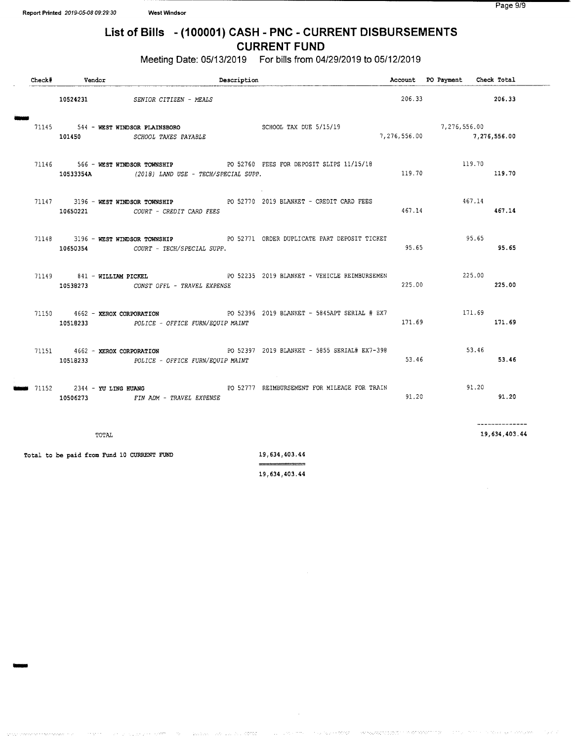W

## List of Bills - (100001) CASH - PNC - CURRENT DISBURSEMENTS CURRENT FUND

Meeting Date: 05/13/2019 For bills from 04/29/2019 to 05/12/2019

| Check# | Vendor                                     |                                                | Description |                                                                                                                                                                                                                                                                                                                                                                            |        | Account PO Payment Check Total |                                 |
|--------|--------------------------------------------|------------------------------------------------|-------------|----------------------------------------------------------------------------------------------------------------------------------------------------------------------------------------------------------------------------------------------------------------------------------------------------------------------------------------------------------------------------|--------|--------------------------------|---------------------------------|
|        |                                            | 10524231 SENIOR CITIZEN - MEALS                |             |                                                                                                                                                                                                                                                                                                                                                                            |        | 206.33 206.33                  |                                 |
|        |                                            | 101450 SCHOOL TAXES PAYABLE                    |             | $\begin{array}{ccccccccc} 71145 & 544 & - & \text{WEST WINDSOR PLAINSDORO} & & & & & \\ & & & & & & & \\ 101450 & & & & & & & \\ 101450 & & & & & & & \\ \end{array} \begin{array}{ccccccccc} 5/15/19 & & & & & 7,276,556.00 \\ 5/15/19 & & & & & \\ 6/15 & & & & & \\ 7,276,556.00 & & & & \\ 8 & 7,276,556.00 & & & \\ 9 & 101450 & & & & \\ 101450 & & & & & \\ 101450$ |        |                                | 7,276,556.00                    |
|        |                                            | 10533354A (2018) LAND USE - TECH/SPECIAL SUPP. |             | 71146 566 - WEST WINDSOR TOWNSHIP 60 52760 FEES FOR DEPOSIT SLIPS 11/15/18                                                                                                                                                                                                                                                                                                 | 119.70 | 119.70                         | 119.70                          |
|        |                                            | 10650221 COURT - CREDIT CARD FEES              |             | 71147 3196 - WEST WINDSOR TOWNSHIP 60 PO 52770 2019 BLANKET - CREDIT CARD FEES                                                                                                                                                                                                                                                                                             | 467.14 |                                | 467.14<br>467.14                |
|        |                                            | 10650354 COURT - TECH/SPECIAL SUPP.            |             | 71148 3196 - WEST WINDSOR TOWNSHIP 60 52771 ORDER DUPLICATE PART DEPOSIT TICKET                                                                                                                                                                                                                                                                                            | 95.65  |                                | 95.65<br>95.65                  |
|        |                                            | 10538273 CONST OFFL - TRAVEL EXPENSE           |             | 71149 841 - WILLIAM PICKEL PO 52235 2019 BLANKET - VEHICLE REIMBURSEMEN                                                                                                                                                                                                                                                                                                    | 225.00 |                                | 225.00<br>225.00                |
|        |                                            | 10518233 POLICE - OFFICE FURN/EQUIP MAINT      |             |                                                                                                                                                                                                                                                                                                                                                                            | 171.69 | 171.69                         | 171.69                          |
|        |                                            | 10518233 POLICE - OFFICE FURN/EQUIP MAINT      |             | 71151  4662 - XEROX CORPORATION  PO 52397  2019 BLANKET - 5855 SERIAL# EX7-398                                                                                                                                                                                                                                                                                             | 53.46  |                                | 53.46<br>53.46                  |
| 71152  | 2344 - YU LING HUANG                       | 10506273 FIN ADM - TRAVEL EXPENSE              |             | PO 52777 REIMBURSEMENT FOR MILEAGE FOR TRAIN                                                                                                                                                                                                                                                                                                                               | 91.20  |                                | 91.20<br>91.20                  |
|        | TOTAL                                      |                                                |             |                                                                                                                                                                                                                                                                                                                                                                            |        |                                | --------------<br>19,634,403.44 |
|        | Total to be paid from Fund 10 CURRENT FUND |                                                |             | 19,634,403.44<br>===============                                                                                                                                                                                                                                                                                                                                           |        |                                |                                 |

19, 634, 403. 44

**CONTRACT** 

ng pilipangn

ognieza zastronom min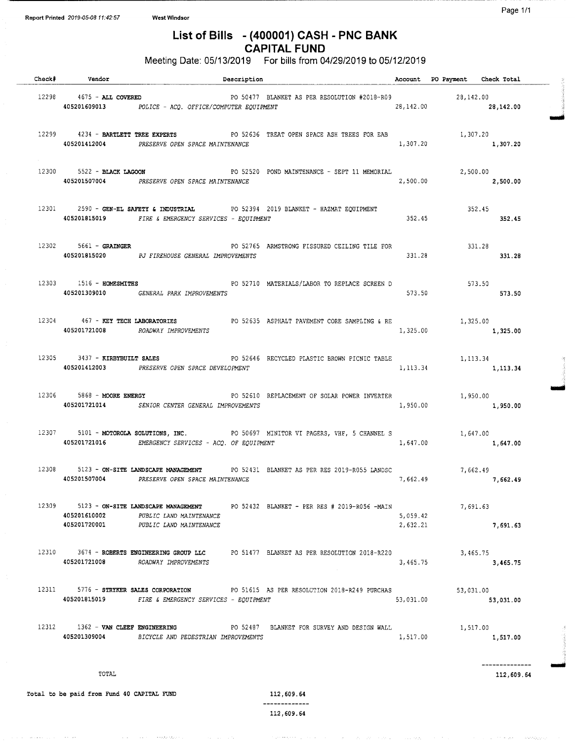## List of Bills - (400001) CASH - PNC BANK CAPITAL FUND

Meeting Date: 05/13/2019 For bills from 04/29/2019 to 05/12/2019

|       | Check# Vendor                                      |                                                                                           | Description                                                                                                                                        |                      | Account PO Payment Check Total |  |
|-------|----------------------------------------------------|-------------------------------------------------------------------------------------------|----------------------------------------------------------------------------------------------------------------------------------------------------|----------------------|--------------------------------|--|
|       | 12298 4675 - ALL COVERED                           | 405201609013 POLICE - ACQ. OFFICE/COMPUTER EQUIPMENT                                      | PO 50477 BLANKET AS PER RESOLUTION #2018-R09 28,142.00                                                                                             |                      | 28, 142.00 28, 142.00          |  |
|       | 12299 4234 - BARTLETT TREE EXPERTS                 | 405201412004 PRESERVE OPEN SPACE MAINTENANCE                                              | PO 52636 TREAT OPEN SPACE ASH TREES FOR EAB                                                                                                        | 1,307.20             | 1,307.20<br>1,307.20           |  |
|       | 12300 5522 - BLACK LAGOON                          | 405201507004 PRESERVE OPEN SPACE MAINTENANCE                                              | PO 52520 POND MAINTENANCE - SEPT 11 MEMORIAL                                                                                                       | 2,500.00             | 2,500.00<br>2,500.00           |  |
|       |                                                    | 405201815019 FIRE & EMERGENCY SERVICES - EQUIPMENT                                        | 12301 2590 - GEN-EL SAFETY & INDUSTRIAL PO 52394 2019 BLANKET - HAZMAT EQUIPMENT                                                                   | 352.45               | 352.45<br>352.45               |  |
|       | $12302$ 5661 - GRAINGER                            | 405201815020 PJ FIREHOUSE GENERAL IMPROVEMENTS                                            | PO 52765 ARMSTRONG FISSURED CEILING TILE FOR                                                                                                       | 331.28               | 331.28<br>331.28               |  |
|       |                                                    | 12303 1516 - HOMESMITHS<br>405201309010 GENERAL PARK IMPROVEMENTS                         | PO 52710 MATERIALS/LABOR TO REPLACE SCREEN D                                                                                                       | 573.50               | $573.50$ $573.50$              |  |
|       |                                                    | 405201721008 ROADWAY IMPROVEMENTS                                                         | 12304 467 - KEY TECH LABORATORIES PO 52635 ASPHALT PAVEMENT CORE SAMPLING & RE 467 - 1,325.00                                                      | 1,325.00             | 1,325.00                       |  |
|       | 12305 3437 - KIRBYBUILT SALES                      | 405201412003 PRESERVE OPEN SPACE DEVELOPMENT                                              | PO 52646 RECYCLED PLASTIC BROWN PICNIC TABLE 1,113.34                                                                                              | 1, 113.34            | 1, 113.34                      |  |
|       | 12306 5868 - MOORE ENERGY                          | 405201721014 SENIOR CENTER GENERAL IMPROVEMENTS                                           | PO 52610 REPLACEMENT OF SOLAR POWER INVERTER                                                                                                       | 1,950.00             | 1,950.00<br>1,950.00           |  |
|       |                                                    |                                                                                           | 12307 5101 - MOTOROLA SOLUTIONS, INC. PO 50697 MINITOR VI PAGERS, VHF, 5 CHANNEL S 1,647.00<br>405201721016 EMERGENCY SERVICES - ACQ. OF EQUIPMENT |                      | 1,647.00 1,647.00              |  |
|       |                                                    | 12308 5123 - ON-SITE LANDSCAPE MANAGEMENT<br>405201507004 PRESERVE OPEN SPACE MAINTENANCE | PO 52431 BLANKET AS PER RES 2019-R055 LANDSC 7.662.49<br>MAINTENANCE 7.662.49                                                                      | 7,662.49             | 7,662.49                       |  |
|       | 405201610002<br>405201720001                       | PUBLIC LAND MAINTENANCE<br>PUBLIC LAND MAINTENANCE                                        | 12309 5123 - ON-SITE LANDSCAPE MANAGEMENT PO 52432 BLANKET - PER RES # 2019-R056 -MAIN                                                             | 5,059.42<br>2,632.21 | 7,691.63<br>7,691.63           |  |
|       | 405201721008                                       | ROADWAY IMPROVEMENTS                                                                      | 12310 3674 - ROBERTS ENGINEERING GROUP LLC PO 51477 BLANKET AS PER RESOLUTION 2018-R220                                                            | 3,465.75             | 3,465.75<br>3,465.75           |  |
| 12311 | 405201815019                                       | 5776 - STRYKER SALES CORPORATION<br>FIRE & EMERGENCY SERVICES - EQUIPMENT                 | PO 51615 AS PER RESOLUTION 2018-R249 PURCHAS                                                                                                       | 53,031.00            | 53,031.00<br>53,031.00         |  |
|       | 12312 1362 - VAN CLEEF ENGINEERING<br>405201309004 | BICYCLE AND PEDESTRIAN IMPROVEMENTS                                                       | PO 52487 BLANKET FOR SURVEY AND DESIGN WALL                                                                                                        | 1,517.00             | 1,517.00<br>1,517.00           |  |
|       | TOTAL                                              |                                                                                           |                                                                                                                                                    |                      | 112,609.64                     |  |

Total to be paid from Fund 40 CAPITAL FUND 112, 609.64

 $\gamma$  , and  $\gamma$  as  $\gamma$ 

kaan an

and the first

-------------

and a state of the state of

 $\sim 10^{11}$  and  $\sim 10^{11}$  and  $\sim 10^{11}$ 

nn e well i weekyw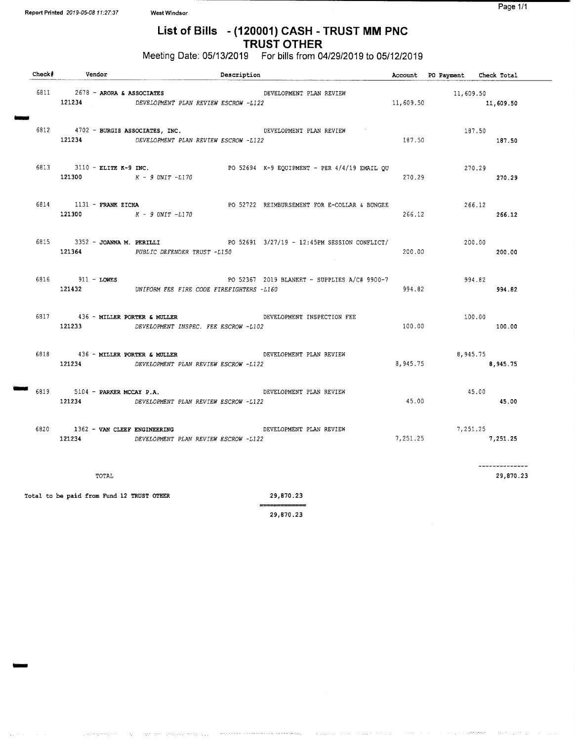emmi

## List of Bills - ( 120001) CASH - TRUST MM PNC TRUST OTHER

## Meeting Date: 05/13/2019 For bills from 04/29/2019 to 05/12/2019

| Check# | Vendor                                                 | Description                                                                                                                                                                                                                                                                                                                                                                                                                                                                                                                                                           |           | Account PO Payment Check Total |                              |
|--------|--------------------------------------------------------|-----------------------------------------------------------------------------------------------------------------------------------------------------------------------------------------------------------------------------------------------------------------------------------------------------------------------------------------------------------------------------------------------------------------------------------------------------------------------------------------------------------------------------------------------------------------------|-----------|--------------------------------|------------------------------|
|        | 6811 2678 - ARORA & ASSOCIATES<br>121234               | DEVELOPMENT PLAN REVIEW<br>DEVELOPMENT PLAN REVIEW ESCROW -L122                                                                                                                                                                                                                                                                                                                                                                                                                                                                                                       | 11,609.50 | 11,609.50                      | 11,609.50                    |
|        |                                                        | 6812 4702 - BURGIS ASSOCIATES, INC.<br>DEVELOPMENT PLAN REVIEW<br>121234 DEVELOPMENT PLAN REVIEW ESCROW -L122                                                                                                                                                                                                                                                                                                                                                                                                                                                         | 187.50    | 187.50                         | 187.50                       |
|        | 121300 $K - 9$ UNIT $-L170$                            | 6813 3110 - ELITE K-9 INC.<br>PO 52694 K-9 EQUIPMENT - PER 4/4/19 EMAIL QU                                                                                                                                                                                                                                                                                                                                                                                                                                                                                            | 270.29    | 270.29                         | 270.29                       |
|        | 6814 1131 - FRANK ZICHA<br>121300 $K - 9$ UNIT $-L170$ | PO 52722 REIMBURSEMENT FOR E-COLLAR & BUNGEE                                                                                                                                                                                                                                                                                                                                                                                                                                                                                                                          | 266.12    | 266.12                         | 266.12                       |
|        | 6815 3352 - JOANNA M. PERILLI<br>121364                | PO 52691 3/27/19 - 12:45PM SESSION CONFLICT/<br>PUBLIC DEFENDER TRUST -L150                                                                                                                                                                                                                                                                                                                                                                                                                                                                                           | 200.00    | 200.00                         | 200.00                       |
|        | 6816 911 - LOWES                                       | PO 52367 2019 BLANKET - SUPPLIES A/C# 9900-7<br>121432 UNIFORM FEE FIRE CODE FIREFIGHTERS -L160                                                                                                                                                                                                                                                                                                                                                                                                                                                                       | 994.82    | 994.82                         | 994.82                       |
|        | 6817 436 - MILLER PORTER & MULLER<br>121233            | DEVELOPMENT INSPECTION FEE<br>DEVELOPMENT INSPEC. FEE ESCROW -L102                                                                                                                                                                                                                                                                                                                                                                                                                                                                                                    | 100.00    | 100.00                         | 100.00                       |
|        | 6818 436 - MILLER PORTER & MULLER                      | DEVELOPMENT PLAN REVIEW<br>121234 DEVELOPMENT PLAN REVIEW ESCROW -L122                                                                                                                                                                                                                                                                                                                                                                                                                                                                                                | 8,945.75  | 8,945.75                       | 8,945.75                     |
|        | 6819 5104 - PARKER MCCAY P.A.<br>121234                | DEVELOPMENT PLAN REVIEW<br>DEVELOPMENT PLAN REVIEW ESCROW -L122                                                                                                                                                                                                                                                                                                                                                                                                                                                                                                       | 45.00     | 45.00                          | 45.00                        |
| 6820   | 1362 - VAN CLEEF ENGINEERING<br>121234                 | DEVELOPMENT PLAN REVIEW<br>DEVELOPMENT PLAN REVIEW ESCROW -L122                                                                                                                                                                                                                                                                                                                                                                                                                                                                                                       | 7,251.25  | 7,251.25                       | 7,251.25                     |
|        | TOTAL                                                  |                                                                                                                                                                                                                                                                                                                                                                                                                                                                                                                                                                       |           |                                | ---------------<br>29,870.23 |
|        | Total to be paid from Fund 12 TRUST OTHER              | 29,870.23<br>$\begin{array}{c} \begin{array}{c} \begin{array}{c} \begin{array}{c} \end{array}\\ \end{array} \end{array} \end{array} \end{array} \begin{array}{c} \begin{array}{c} \begin{array}{c} \end{array}\\ \end{array} \end{array} \end{array} \begin{array}{c} \begin{array}{c} \end{array} \end{array} \end{array} \begin{array}{c} \begin{array}{c} \end{array} \end{array} \end{array} \begin{array}{c} \begin{array}{c} \end{array} \end{array} \end{array} \begin{array}{c} \begin{array}{c} \end{array} \end{array} \begin{array}{c} \begin{array}{c} \$ |           |                                |                              |

29, 870. 23

والهيم سيوس فالمتحرج والرهيب والمستنقذ والمتحدد والمستعمل والمستوار والموارد

**Services** 

Teachers.

 $\alpha \in \mathbb{Z}^n$  , and  $\alpha \in \mathbb{Z}^n$  , where  $\alpha$ 

ing and وبالحدور

.<br>Standard in the to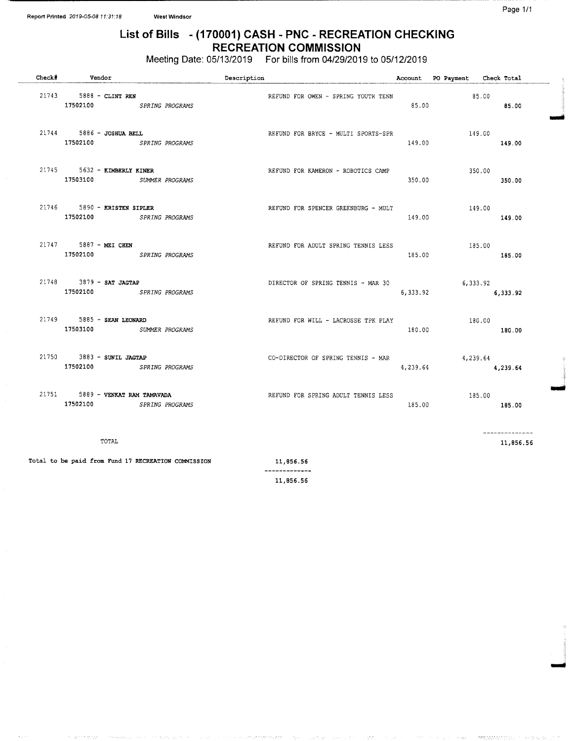owl

## List of Bills - ( 170001) CASH - PNC - RECREATION CHECKING RECREATION COMMISSION

Meeting Date: 05/13/2019 For bills from 04/29/2019 to 05/12/2019

| Check# | Vendor                                                       | Description                         |          | Account PO Payment Check Total |                  |
|--------|--------------------------------------------------------------|-------------------------------------|----------|--------------------------------|------------------|
|        | 21743 5888 - CLINT REN<br>17502100 SPRING PROGRAMS           | REFUND FOR OWEN - SPRING YOUTH TENN | 85.00    | 85.00                          | 85.00            |
|        | 21744 5886 - JOSHUA BELL<br>17502100 SPRING PROGRAMS         | REFUND FOR BRYCE - MULTI SPORTS-SPR | 149.00   | 149.00                         | 149.00           |
|        | 21745 5632 - KIMBERLY KINER<br>17503100 SUMMER PROGRAMS      | REFUND FOR KAMERON - ROBOTICS CAMP  | 350.00   | 350.00                         | 350.00           |
|        | 21746 5890 - KRISTEN SIPLER<br>17502100 SPRING PROGRAMS      | REFUND FOR SPENCER GREENBURG - MULT | 149.00   | 149.00                         | 149.00           |
|        | 21747 5887 - MEI CHEN<br>17502100 SPRING PROGRAMS            | REFUND FOR ADULT SPRING TENNIS LESS | 185.00   |                                | 185.00<br>185.00 |
|        | $21748$ 3879 - SAT JAGTAP<br>17502100 SPRING PROGRAMS        | DIRECTOR OF SPRING TENNIS - MAR 30  | 6,333.92 | 6, 333, 92                     | 6,333.92         |
|        | 21749 5885 - SEAN LEONARD<br>17503100 SUMMER PROGRAMS        | REFUND FOR WILL - LACROSSE TPK PLAY | 180.00   | 180.00                         | 180.00           |
|        | 21750 3883 - SUNIL JAGTAP<br>17502100 SPRING PROGRAMS        | CO-DIRECTOR OF SPRING TENNIS - MAR  | 4,239.64 | 4,239.64                       | 4,239.64         |
|        | 21751 5889 - VENKAT RAM TAMAVADA<br>17502100 SPRING PROGRAMS | REFUND FOR SPRING ADULT TENNIS LESS | 185.00   | 185.00                         | 185.00           |
|        | TOTAL                                                        |                                     |          |                                | 11,856.56        |

Total to be paid from Fund 17 RECREATION COMMISSION 11,856.56

---------11, 856. 56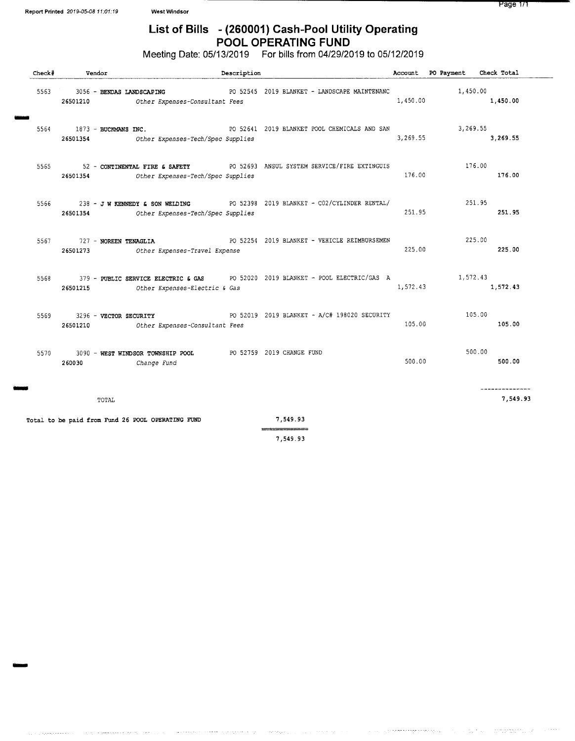NNW

## List of Bills - (260001) Cash-Pool Utility Operating POOL OPERATING FUND

Meeting Date: 05/13/2019 For bills from 04/29/2019 to 05/12/2019

| Check#   |                                   | Vendor |                                                                            | Description |                                                                                 |          | Account PO Payment Check Total |                           |
|----------|-----------------------------------|--------|----------------------------------------------------------------------------|-------------|---------------------------------------------------------------------------------|----------|--------------------------------|---------------------------|
| 5563     | 26501210                          |        | 3056 - BENDAS LANDSCAPING<br>Other Expenses-Consultant Fees                |             | PO 52545 2019 BLANKET - LANDSCAPE MAINTENANC                                    | 1,450.00 | 1,450.00                       | 1,450.00                  |
|          | $5564$ 1873 - BUCKMANS INC.       |        | 26501354 Other Expenses-Tech/Spec Supplies                                 |             | PO 52641 2019 BLANKET POOL CHEMICALS AND SAN                                    | 3,269.55 | 3,269.55                       | 3,269.55                  |
| 5565     | 26501354                          |        | Other Expenses-Tech/Spec Supplies                                          |             | 52 - CONTINENTAL FIRE & SAFETY PO 52693 ANSUL SYSTEM SERVICE/FIRE EXTINGUIS     | 176.00   | 176.00                         | 176.00                    |
| 5566 756 | 26501354                          |        | Other Expenses-Tech/Spec Supplies                                          |             | 238 - J W KENNEDY & SON WELDING PO 52398 2019 BLANKET - CO2/CYLINDER RENTAL/    | 251.95   | 251.95                         | 251.95                    |
| 5567     | 727 - NOREEN TENAGLIA<br>26501273 |        | Other Expenses-Travel Expense                                              |             | PO 52254 2019 BLANKET - VEHICLE REIMBURSEMEN                                    | 225.00   | 225.00                         | 225.00                    |
| 5568     | 26501215                          |        | Other Expenses-Electric & Gas                                              |             | 379 - PUBLIC SERVICE ELECTRIC & GAS PO 52020 2019 BLANKET - POOL ELECTRIC/GAS A | 1,572.43 | 1,572.43                       | 1,572.43                  |
| 5569     | 26501210                          |        | 3296 - VECTOR SECURITY<br>Other Expenses-Consultant Fees                   |             | PO 52019 2019 BLANKET - A/C# 198020 SECURITY                                    | 105.00   | 105.00                         | 105.00                    |
| 5570     | 260030                            |        | 3090 - WEST WINDSOR TOWNSHIP POOL PO 52759 2019 CHANGE FUND<br>Change Fund |             |                                                                                 | 500.00   | 500.00                         | 500.00                    |
|          |                                   | TOTAL  |                                                                            |             |                                                                                 |          |                                | -------------<br>7,549.93 |
|          |                                   |        | Total to be paid from Fund 26 POOL OPERATING FUND                          |             | 7,549.93                                                                        |          |                                |                           |
|          |                                   |        |                                                                            |             | 7,549.93                                                                        |          |                                |                           |

والباسيريون

 $\label{eq:reduced} \mathcal{L}_{\mathcal{M}} = \mathcal{L}_{\mathcal{M}} = \mathcal{L}_{\mathcal{M}} + \mathcal{L}_{\mathcal{M}} + \mathcal{L}_{\mathcal{M}} + \mathcal{L}_{\mathcal{M}} + \mathcal{L}_{\mathcal{M}}$ 

in early

 $\sim$   $\sim$ 

**Service Product** 

a a a característica provincia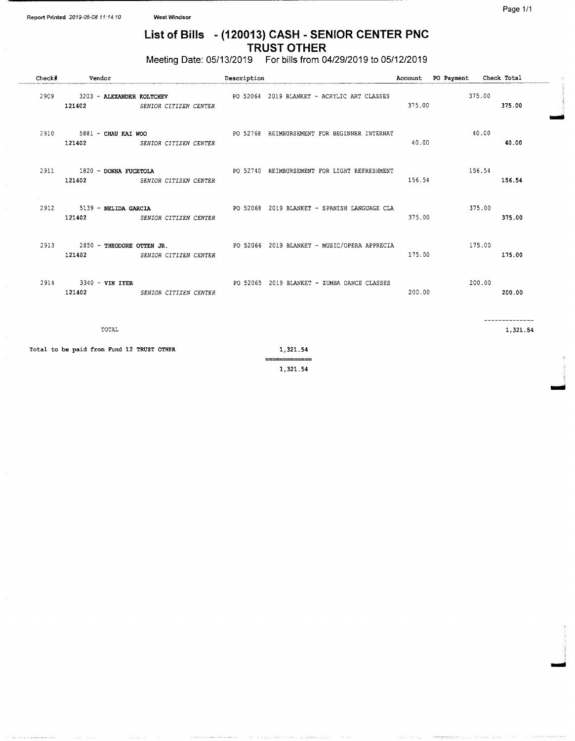## List of Bills - (120013) CASH - SENIOR CENTER PNC TRUST OTHER

Meeting Date: 05/13/2019 For bills from 04/29/2019 to 05/12/2019

| Check# | Vendor                                    |                              | Description |                                                                                                        |        | Account PO Payment Check Total |          |
|--------|-------------------------------------------|------------------------------|-------------|--------------------------------------------------------------------------------------------------------|--------|--------------------------------|----------|
|        |                                           | 121402 SENIOR CITIZEN CENTER |             | 2909 3203 - ALEXANDER KOLTCHEV PO 52064 2019 BLANKET - ACRYLIC ART CLASSES                             | 375.00 | 375.00                         | 375.00   |
|        |                                           | 121402 SENIOR CITIZEN CENTER |             | 2910 5881 - CHAU KAI WOO 62768 REIMBURSEMENT FOR BEGINNER INTERNAT                                     | 40.00  | 40.00                          | 40.00    |
|        |                                           | 121402 SENIOR CITIZEN CENTER |             | 2911 1820 - DONNA FUCETOLA PO 52740 REIMBURSEMENT FOR LIGHT REFRESHMENT 2011 156.54                    | 156.54 |                                | 156.54   |
|        |                                           | 121402 SENIOR CITIZEN CENTER |             | 2912 5139 - NELIDA GARCIA CONSEGUE DO 52068 2019 BLANKET - SPANISH LANGUAGE CLA                        | 375.00 | 375.00                         | 375.00   |
|        |                                           | 121402 SENIOR CITIZEN CENTER |             | 2913 2850 - THEODORE OTTEN JR. 2005 2006 2019 BLANKET - MUSIC/OPERA APPRECIA 2850 - THEODORE OTTEN JR. | 175.00 |                                | 175.00   |
|        |                                           | 121402 SENIOR CITIZEN CENTER |             | 2914 3340 - VIN IYER 2019 BLANKET - ZUMBA DANCE CLASSES                                                | 200.00 | 200.00                         | 200.00   |
|        | TOTAL                                     |                              |             |                                                                                                        |        |                                | 1,321.54 |
|        | Total to be paid from Fund 12 TRUST OTHER |                              |             | 1,321.54                                                                                               |        |                                |          |
|        |                                           |                              |             | 1,321.54                                                                                               |        |                                |          |

IMO

IMMO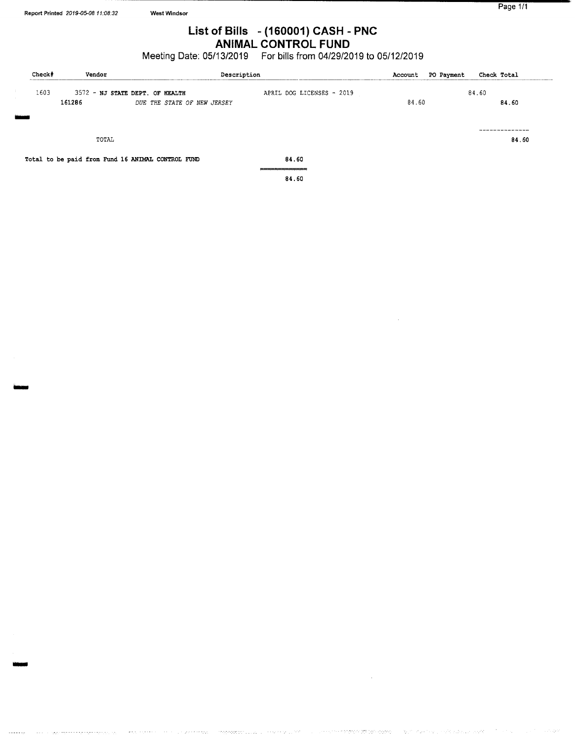## List of Bills - ( 160001) CASH - PNC ANIMAL CONTROL FUND

Meeting Date: 05/13/2019 For bills from 04/29/2019 to 05/12/2019

| Check# |      | Vendor                                            | Description                 |                           | <b>PO Payment</b><br>Account | Check Total |
|--------|------|---------------------------------------------------|-----------------------------|---------------------------|------------------------------|-------------|
|        | 1603 | 3572 - NJ STATE DEPT. OF HEALTH                   |                             | APRIL DOG LICENSES - 2019 |                              | 84.60       |
|        |      | 161286                                            | DUE THE STATE OF NEW JERSEY |                           | 84.60                        | 84.60       |
|        |      |                                                   |                             |                           |                              |             |
|        |      | TOTAL                                             |                             |                           |                              | 84.60       |
|        |      | Total to be paid from Fund 16 ANIMAL CONTROL FUND |                             | 84.60                     |                              |             |
|        |      |                                                   |                             | 84.60                     |                              |             |

iyo jiyar

reet oor uu uu uu

 $\sigma$  -  $\sigma$  -  $\sigma_{\mu\nu}$  ,

in kalendary sy propinsi pop

*Polendario*